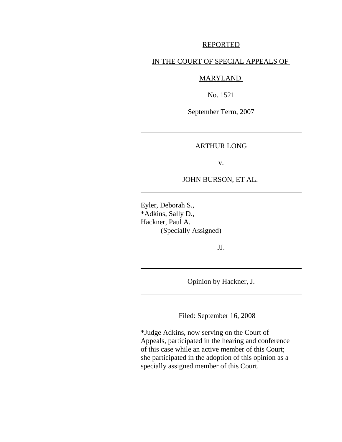### REPORTED

## IN THE COURT OF SPECIAL APPEALS OF

# MARYLAND

No. 1521

September Term, 2007

ARTHUR LONG

v.

## JOHN BURSON, ET AL.

Eyler, Deborah S., \*Adkins, Sally D., Hackner, Paul A. (Specially Assigned)

JJ.

Opinion by Hackner, J.

Filed: September 16, 2008

\*Judge Adkins, now serving on the Court of Appeals, participated in the hearing and conference of this case while an active member of this Court; she participated in the adoption of this opinion as a specially assigned member of this Court.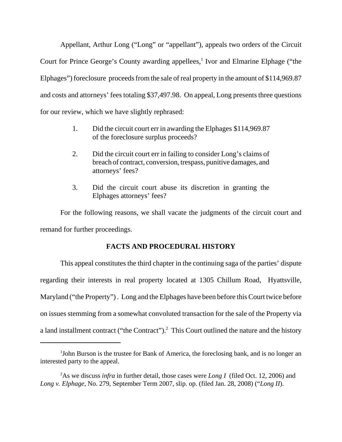Appellant, Arthur Long ("Long" or "appellant"), appeals two orders of the Circuit Court for Prince George's County awarding appellees,<sup>1</sup> Ivor and Elmarine Elphage ("the Elphages") foreclosure proceeds from the sale of real property in the amount of \$114,969.87 and costs and attorneys' fees totaling \$37,497.98. On appeal, Long presents three questions for our review, which we have slightly rephrased:

- 1. Did the circuit court err in awarding the Elphages \$114,969.87 of the foreclosure surplus proceeds?
- 2. Did the circuit court err in failing to consider Long's claims of breach of contract, conversion, trespass, punitive damages, and attorneys' fees?
- 3. Did the circuit court abuse its discretion in granting the Elphages attorneys' fees?

For the following reasons, we shall vacate the judgments of the circuit court and remand for further proceedings.

# **FACTS AND PROCEDURAL HISTORY**

This appeal constitutes the third chapter in the continuing saga of the parties' dispute regarding their interests in real property located at 1305 Chillum Road, Hyattsville, Maryland ("the Property") . Long and the Elphages have been before this Court twice before on issues stemming from a somewhat convoluted transaction for the sale of the Property via a land installment contract ("the Contract").<sup>2</sup> This Court outlined the nature and the history

<sup>&</sup>lt;sup>1</sup>John Burson is the trustee for Bank of America, the foreclosing bank, and is no longer an interested party to the appeal.

<sup>2</sup> As we discuss *infra* in further detail, those cases were *Long I* (filed Oct. 12, 2006) and *Long v. Elphage*, No. 279, September Term 2007, slip. op. (filed Jan. 28, 2008) ("*Long II*).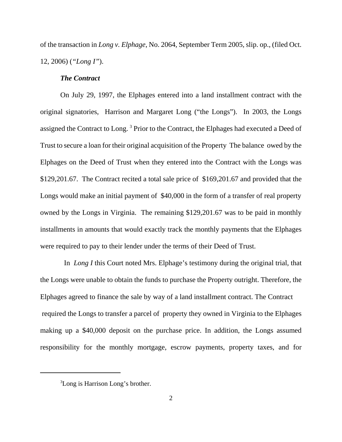of the transaction in *Long v. Elphage*, No. 2064, September Term 2005, slip. op., (filed Oct. 12, 2006) (*"Long I"*).

## *The Contract*

On July 29, 1997, the Elphages entered into a land installment contract with the original signatories, Harrison and Margaret Long ("the Longs"). In 2003, the Longs assigned the Contract to Long.<sup>3</sup> Prior to the Contract, the Elphages had executed a Deed of Trust to secure a loan for their original acquisition of the Property The balance owed by the Elphages on the Deed of Trust when they entered into the Contract with the Longs was \$129,201.67. The Contract recited a total sale price of \$169,201.67 and provided that the Longs would make an initial payment of \$40,000 in the form of a transfer of real property owned by the Longs in Virginia. The remaining \$129,201.67 was to be paid in monthly installments in amounts that would exactly track the monthly payments that the Elphages were required to pay to their lender under the terms of their Deed of Trust.

 In *Long I* this Court noted Mrs. Elphage's testimony during the original trial, that the Longs were unable to obtain the funds to purchase the Property outright. Therefore, the Elphages agreed to finance the sale by way of a land installment contract. The Contract required the Longs to transfer a parcel of property they owned in Virginia to the Elphages making up a \$40,000 deposit on the purchase price. In addition, the Longs assumed responsibility for the monthly mortgage, escrow payments, property taxes, and for

<sup>&</sup>lt;sup>3</sup>Long is Harrison Long's brother.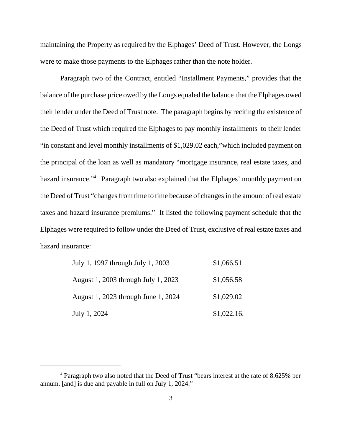maintaining the Property as required by the Elphages' Deed of Trust. However, the Longs were to make those payments to the Elphages rather than the note holder.

Paragraph two of the Contract, entitled "Installment Payments," provides that the balance of the purchase price owed by the Longs equaled the balance that the Elphages owed their lender under the Deed of Trust note. The paragraph begins by reciting the existence of the Deed of Trust which required the Elphages to pay monthly installments to their lender "in constant and level monthly installments of \$1,029.02 each,"which included payment on the principal of the loan as well as mandatory "mortgage insurance, real estate taxes, and hazard insurance."<sup>4</sup> Paragraph two also explained that the Elphages' monthly payment on the Deed of Trust "changes from time to time because of changes in the amount of real estate taxes and hazard insurance premiums." It listed the following payment schedule that the Elphages were required to follow under the Deed of Trust, exclusive of real estate taxes and hazard insurance:

| July 1, 1997 through July 1, 2003   | \$1,066.51  |
|-------------------------------------|-------------|
| August 1, 2003 through July 1, 2023 | \$1,056.58  |
| August 1, 2023 through June 1, 2024 | \$1,029.02  |
| July 1, 2024                        | \$1,022.16. |

<sup>&</sup>lt;sup>4</sup> Paragraph two also noted that the Deed of Trust "bears interest at the rate of 8.625% per annum, [and] is due and payable in full on July 1, 2024."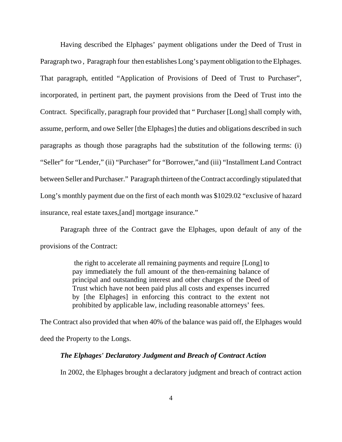Having described the Elphages' payment obligations under the Deed of Trust in Paragraph two , Paragraph four then establishes Long's payment obligation to the Elphages. That paragraph, entitled "Application of Provisions of Deed of Trust to Purchaser", incorporated, in pertinent part, the payment provisions from the Deed of Trust into the Contract. Specifically, paragraph four provided that " Purchaser [Long] shall comply with, assume, perform, and owe Seller [the Elphages] the duties and obligations described in such paragraphs as though those paragraphs had the substitution of the following terms: (i) "Seller" for "Lender," (ii) "Purchaser" for "Borrower,"and (iii) "Installment Land Contract between Seller and Purchaser." Paragraph thirteen of the Contract accordingly stipulated that Long's monthly payment due on the first of each month was \$1029.02 "exclusive of hazard insurance, real estate taxes,[and] mortgage insurance."

Paragraph three of the Contract gave the Elphages, upon default of any of the provisions of the Contract:

> the right to accelerate all remaining payments and require [Long] to pay immediately the full amount of the then-remaining balance of principal and outstanding interest and other charges of the Deed of Trust which have not been paid plus all costs and expenses incurred by [the Elphages] in enforcing this contract to the extent not prohibited by applicable law, including reasonable attorneys' fees.

The Contract also provided that when 40% of the balance was paid off, the Elphages would deed the Property to the Longs.

#### *The Elphages' Declaratory Judgment and Breach of Contract Action*

In 2002, the Elphages brought a declaratory judgment and breach of contract action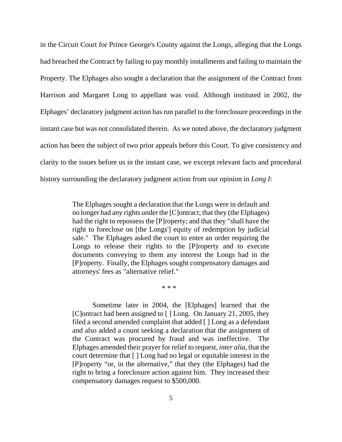in the Circuit Court for Prince George's County against the Longs, alleging that the Longs had breached the Contract by failing to pay monthly installments and failing to maintain the Property. The Elphages also sought a declaration that the assignment of the Contract from Harrison and Margaret Long to appellant was void. Although instituted in 2002, the Elphages' declaratory judgment action has run parallel to the foreclosure proceedings in the instant case but was not consolidated therein. As we noted above, the declaratory judgment action has been the subject of two prior appeals before this Court. To give consistency and clarity to the issues before us in the instant case, we excerpt relevant facts and procedural history surrounding the declaratory judgment action from our opinion in *Long I*:

> The Elphages sought a declaration that the Longs were in default and no longer had any rights under the [C]ontract; that they (the Elphages) had the right to repossess the [P]roperty; and that they "shall have the right to foreclose on [the Longs'] equity of redemption by judicial sale." The Elphages asked the court to enter an order requiring the Longs to release their rights to the [P]roperty and to execute documents conveying to them any interest the Longs had in the [P]roperty. Finally, the Elphages sought compensatory damages and attorneys' fees as "alternative relief."

> > \* \* \*

Sometime later in 2004, the [Elphages] learned that the [C]ontract had been assigned to [ ] Long. On January 21, 2005, they filed a second amended complaint that added [ ] Long as a defendant and also added a count seeking a declaration that the assignment of the Contract was procured by fraud and was ineffective. The Elphages amended their prayer for relief to request, *inter alia*, that the court determine that [ ] Long had no legal or equitable interest in the [P]roperty "or, in the alternative," that they (the Elphages) had the right to bring a foreclosure action against him. They increased their compensatory damages request to \$500,000.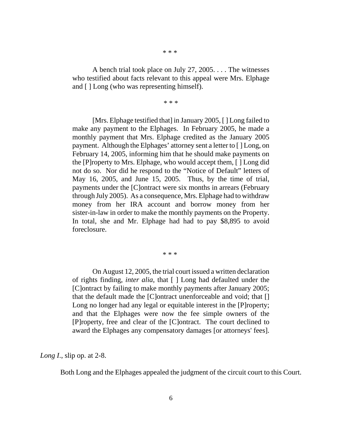\* \* \*

A bench trial took place on July 27, 2005. . . . The witnesses who testified about facts relevant to this appeal were Mrs. Elphage and [ ] Long (who was representing himself).

\* \* \*

[Mrs. Elphage testified that] in January 2005, [ ] Long failed to make any payment to the Elphages. In February 2005, he made a monthly payment that Mrs. Elphage credited as the January 2005 payment. Although the Elphages' attorney sent a letter to [ ] Long, on February 14, 2005, informing him that he should make payments on the [P]roperty to Mrs. Elphage, who would accept them, [ ] Long did not do so. Nor did he respond to the "Notice of Default" letters of May 16, 2005, and June 15, 2005. Thus, by the time of trial, payments under the [C]ontract were six months in arrears (February through July 2005). As a consequence, Mrs. Elphage had to withdraw money from her IRA account and borrow money from her sister-in-law in order to make the monthly payments on the Property. In total, she and Mr. Elphage had had to pay \$8,895 to avoid foreclosure.

\* \* \*

On August 12, 2005, the trial court issued a written declaration of rights finding, *inter alia*, that [ ] Long had defaulted under the [C]ontract by failing to make monthly payments after January 2005; that the default made the [C]ontract unenforceable and void; that [] Long no longer had any legal or equitable interest in the [P]roperty; and that the Elphages were now the fee simple owners of the [P]roperty, free and clear of the [C]ontract. The court declined to award the Elphages any compensatory damages [or attorneys' fees].

*Long I.*, slip op. at 2-8.

Both Long and the Elphages appealed the judgment of the circuit court to this Court.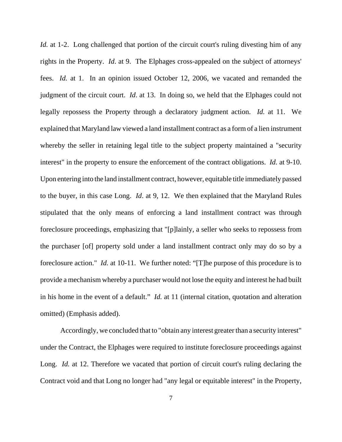*Id.* at 1-2. Long challenged that portion of the circuit court's ruling divesting him of any rights in the Property. *Id*. at 9. The Elphages cross-appealed on the subject of attorneys' fees. *Id.* at 1. In an opinion issued October 12, 2006, we vacated and remanded the judgment of the circuit court. *Id*. at 13. In doing so, we held that the Elphages could not legally repossess the Property through a declaratory judgment action. *Id.* at 11. We explained that Maryland law viewed a land installment contract as a form of a lien instrument whereby the seller in retaining legal title to the subject property maintained a "security interest" in the property to ensure the enforcement of the contract obligations. *Id.* at 9-10. Upon entering into the land installment contract, however, equitable title immediately passed to the buyer, in this case Long. *Id*. at 9, 12. We then explained that the Maryland Rules stipulated that the only means of enforcing a land installment contract was through foreclosure proceedings, emphasizing that "[p]lainly, a seller who seeks to repossess from the purchaser [of] property sold under a land installment contract only may do so by a foreclosure action." *Id.* at 10-11. We further noted: "[T]he purpose of this procedure is to provide a mechanism whereby a purchaser would not lose the equity and interest he had built in his home in the event of a default." *Id.* at 11 (internal citation, quotation and alteration omitted) (Emphasis added).

Accordingly, we concluded that to "obtain any interest greater than a security interest" under the Contract, the Elphages were required to institute foreclosure proceedings against Long. *Id.* at 12. Therefore we vacated that portion of circuit court's ruling declaring the Contract void and that Long no longer had "any legal or equitable interest" in the Property,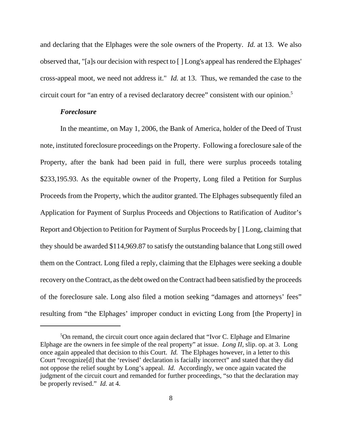and declaring that the Elphages were the sole owners of the Property. *Id.* at 13. We also observed that, "[a]s our decision with respect to [ ] Long's appeal has rendered the Elphages' cross-appeal moot, we need not address it." *Id.* at 13. Thus, we remanded the case to the circuit court for "an entry of a revised declaratory decree" consistent with our opinion.<sup>5</sup>

## *Foreclosure*

In the meantime, on May 1, 2006, the Bank of America, holder of the Deed of Trust note, instituted foreclosure proceedings on the Property. Following a foreclosure sale of the Property, after the bank had been paid in full, there were surplus proceeds totaling \$233,195.93. As the equitable owner of the Property, Long filed a Petition for Surplus Proceeds from the Property, which the auditor granted. The Elphages subsequently filed an Application for Payment of Surplus Proceeds and Objections to Ratification of Auditor's Report and Objection to Petition for Payment of Surplus Proceeds by [ ] Long, claiming that they should be awarded \$114,969.87 to satisfy the outstanding balance that Long still owed them on the Contract. Long filed a reply, claiming that the Elphages were seeking a double recovery on the Contract, as the debt owed on the Contract had been satisfied by the proceeds of the foreclosure sale. Long also filed a motion seeking "damages and attorneys' fees" resulting from "the Elphages' improper conduct in evicting Long from [the Property] in

<sup>&</sup>lt;sup>5</sup>On remand, the circuit court once again declared that "Ivor C. Elphage and Elmarine Elphage are the owners in fee simple of the real property" at issue. *Long II*, slip. op. at 3. Long once again appealed that decision to this Court. *Id.* The Elphages however, in a letter to this Court "recognize[d] that the 'revised' declaration is facially incorrect" and stated that they did not oppose the relief sought by Long's appeal. *Id.* Accordingly, we once again vacated the judgment of the circuit court and remanded for further proceedings, "so that the declaration may be properly revised." *Id.* at 4.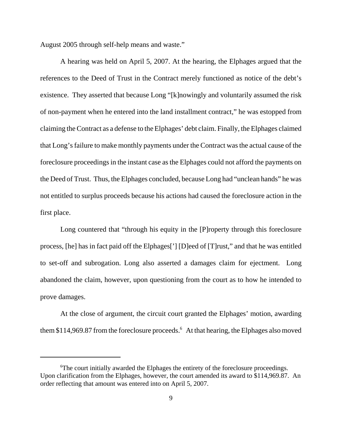August 2005 through self-help means and waste."

A hearing was held on April 5, 2007. At the hearing, the Elphages argued that the references to the Deed of Trust in the Contract merely functioned as notice of the debt's existence. They asserted that because Long "[k]nowingly and voluntarily assumed the risk of non-payment when he entered into the land installment contract," he was estopped from claiming the Contract as a defense to the Elphages' debt claim. Finally, the Elphages claimed that Long's failure to make monthly payments under the Contract was the actual cause of the foreclosure proceedings in the instant case as the Elphages could not afford the payments on the Deed of Trust. Thus, the Elphages concluded, because Long had "unclean hands" he was not entitled to surplus proceeds because his actions had caused the foreclosure action in the first place.

Long countered that "through his equity in the [P]roperty through this foreclosure process, [he] has in fact paid off the Elphages['] [D]eed of [T]rust," and that he was entitled to set-off and subrogation. Long also asserted a damages claim for ejectment. Long abandoned the claim, however, upon questioning from the court as to how he intended to prove damages.

At the close of argument, the circuit court granted the Elphages' motion, awarding them \$114,969.87 from the foreclosure proceeds.<sup>6</sup> At that hearing, the Elphages also moved

<sup>&</sup>lt;sup>6</sup>The court initially awarded the Elphages the entirety of the foreclosure proceedings. Upon clarification from the Elphages, however, the court amended its award to \$114,969.87. An order reflecting that amount was entered into on April 5, 2007.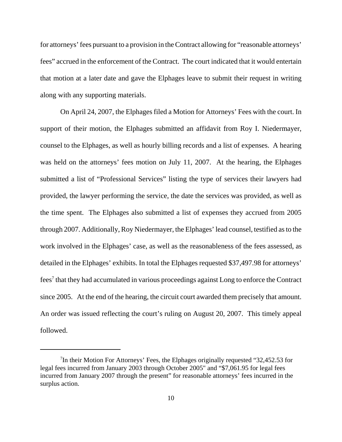for attorneys' fees pursuant to a provision in the Contract allowing for "reasonable attorneys' fees" accrued in the enforcement of the Contract. The court indicated that it would entertain that motion at a later date and gave the Elphages leave to submit their request in writing along with any supporting materials.

On April 24, 2007, the Elphages filed a Motion for Attorneys' Fees with the court. In support of their motion, the Elphages submitted an affidavit from Roy I. Niedermayer, counsel to the Elphages, as well as hourly billing records and a list of expenses. A hearing was held on the attorneys' fees motion on July 11, 2007. At the hearing, the Elphages submitted a list of "Professional Services" listing the type of services their lawyers had provided, the lawyer performing the service, the date the services was provided, as well as the time spent. The Elphages also submitted a list of expenses they accrued from 2005 through 2007. Additionally, Roy Niedermayer, the Elphages' lead counsel, testified as to the work involved in the Elphages' case, as well as the reasonableness of the fees assessed, as detailed in the Elphages' exhibits. In total the Elphages requested \$37,497.98 for attorneys' fees<sup>7</sup> that they had accumulated in various proceedings against Long to enforce the Contract since 2005. At the end of the hearing, the circuit court awarded them precisely that amount. An order was issued reflecting the court's ruling on August 20, 2007. This timely appeal followed.

<sup>&</sup>lt;sup>7</sup>In their Motion For Attorneys' Fees, the Elphages originally requested "32,452.53 for legal fees incurred from January 2003 through October 2005" and "\$7,061.95 for legal fees incurred from January 2007 through the present" for reasonable attorneys' fees incurred in the surplus action.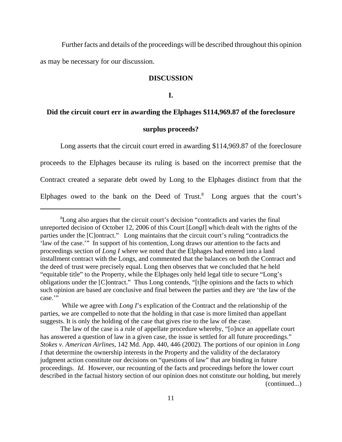Further facts and details of the proceedings will be described throughout this opinion as may be necessary for our discussion.

#### **DISCUSSION**

**I.**

### **Did the circuit court err in awarding the Elphages \$114,969.87 of the foreclosure**

## **surplus proceeds?**

Long asserts that the circuit court erred in awarding \$114,969.87 of the foreclosure proceeds to the Elphages because its ruling is based on the incorrect premise that the Contract created a separate debt owed by Long to the Elphages distinct from that the Elphages owed to the bank on the Deed of Trust. $8$  Long argues that the court's

<sup>&</sup>lt;sup>8</sup>Long also argues that the circuit court's decision "contradicts and varies the final unreported decision of October 12, 2006 of this Court [*LongI*] which dealt with the rights of the parties under the [C]ontract." Long maintains that the circuit court's ruling "contradicts the 'law of the case.'" In support of his contention, Long draws our attention to the facts and proceedings section of *Long I* where we noted that the Elphages had entered into a land installment contract with the Longs, and commented that the balances on both the Contract and the deed of trust were precisely equal. Long then observes that we concluded that he held "equitable title" to the Property, while the Elphages only held legal title to secure "Long's obligations under the [C]ontract." Thus Long contends, "[t]he opinions and the facts to which such opinion are based are conclusive and final between the parties and they are 'the law of the case."

While we agree with *Long I*'s explication of the Contract and the relationship of the parties, we are compelled to note that the holding in that case is more limited than appellant suggests. It is only the holding of the case that gives rise to the law of the case.

The law of the case is a rule of appellate procedure whereby, "[o]nce an appellate court has answered a question of law in a given case, the issue is settled for all future proceedings." *Stokes v. American Airlines*, 142 Md. App. 440, 446 (2002). The portions of our opinion in *Long I* that determine the ownership interests in the Property and the validity of the declaratory judgment action constitute our decisions on "questions of law" that are binding in future proceedings. *Id.* However, our recounting of the facts and proceedings before the lower court described in the factual history section of our opinion does not constitute our holding, but merely (continued...)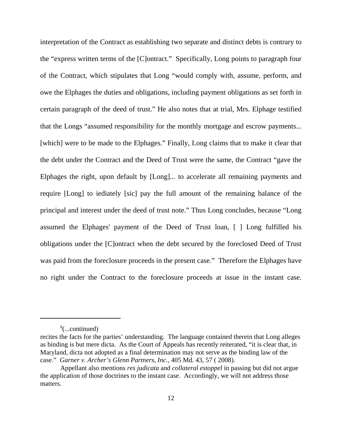interpretation of the Contract as establishing two separate and distinct debts is contrary to the "express written terms of the [C]ontract." Specifically, Long points to paragraph four of the Contract, which stipulates that Long "would comply with, assume, perform, and owe the Elphages the duties and obligations, including payment obligations as set forth in certain paragraph of the deed of trust." He also notes that at trial, Mrs. Elphage testified that the Longs "assumed responsibility for the monthly mortgage and escrow payments... [which] were to be made to the Elphages." Finally, Long claims that to make it clear that the debt under the Contract and the Deed of Trust were the same, the Contract "gave the Elphages the right, upon default by [Long]... to accelerate all remaining payments and require [Long] to iediately [sic] pay the full amount of the remaining balance of the principal and interest under the deed of trust note." Thus Long concludes, because "Long assumed the Elphages' payment of the Deed of Trust loan, [ ] Long fulfilled his obligations under the [C]ontract when the debt secured by the foreclosed Deed of Trust was paid from the foreclosure proceeds in the present case." Therefore the Elphages have no right under the Contract to the foreclosure proceeds at issue in the instant case.

<sup>8</sup> (...continued)

recites the facts for the parties' understanding. The language contained therein that Long alleges as binding is but mere dicta. As the Court of Appeals has recently reiterated, "it is clear that, in Maryland, dicta not adopted as a final determination may not serve as the binding law of the case." *Garner v. Archer's Glenn Partners, Inc.*, 405 Md. 43, 57 ( 2008).

Appellant also mentions *res judicata* and *collateral estoppel* in passing but did not argue the application of those doctrines to the instant case. Accordingly, we will not address those matters.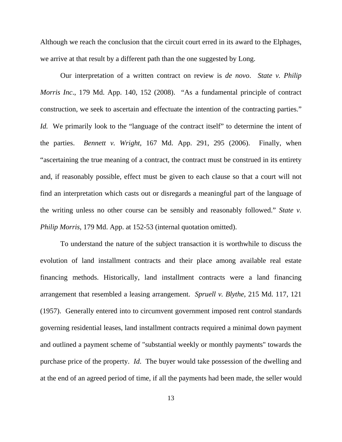Although we reach the conclusion that the circuit court erred in its award to the Elphages, we arrive at that result by a different path than the one suggested by Long.

Our interpretation of a written contract on review is *de novo*. *State v. Philip Morris Inc*., 179 Md. App. 140, 152 (2008). "As a fundamental principle of contract construction, we seek to ascertain and effectuate the intention of the contracting parties." *Id.* We primarily look to the "language of the contract itself" to determine the intent of the parties. *Bennett v. Wright*, 167 Md. App. 291, 295 (2006). Finally, when "ascertaining the true meaning of a contract, the contract must be construed in its entirety and, if reasonably possible, effect must be given to each clause so that a court will not find an interpretation which casts out or disregards a meaningful part of the language of the writing unless no other course can be sensibly and reasonably followed." *State v. Philip Morris*, 179 Md. App. at 152-53 (internal quotation omitted).

To understand the nature of the subject transaction it is worthwhile to discuss the evolution of land installment contracts and their place among available real estate financing methods. Historically, land installment contracts were a land financing arrangement that resembled a leasing arrangement. *Spruell v. Blythe*, 215 Md. 117, 121 (1957). Generally entered into to circumvent government imposed rent control standards governing residential leases, land installment contracts required a minimal down payment and outlined a payment scheme of "substantial weekly or monthly payments" towards the purchase price of the property. *Id*. The buyer would take possession of the dwelling and at the end of an agreed period of time, if all the payments had been made, the seller would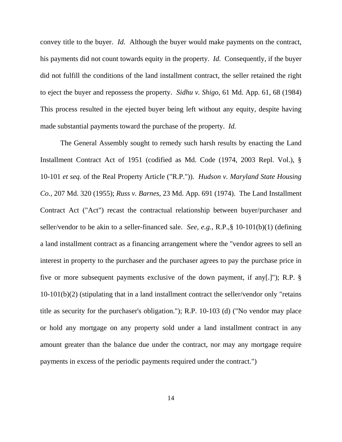convey title to the buyer. *Id.* Although the buyer would make payments on the contract, his payments did not count towards equity in the property. *Id.* Consequently, if the buyer did not fulfill the conditions of the land installment contract, the seller retained the right to eject the buyer and repossess the property. *Sidhu v. Shigo*, 61 Md. App. 61, 68 (1984) This process resulted in the ejected buyer being left without any equity, despite having made substantial payments toward the purchase of the property. *Id.* 

The General Assembly sought to remedy such harsh results by enacting the Land Installment Contract Act of 1951 (codified as Md. Code (1974, 2003 Repl. Vol.), § 10-101 *et seq.* of the Real Property Article ("R.P.")). *Hudson v. Maryland State Housing Co.*, 207 Md. 320 (1955); *Russ v. Barnes*, 23 Md. App. 691 (1974). The Land Installment Contract Act ("Act") recast the contractual relationship between buyer/purchaser and seller/vendor to be akin to a seller-financed sale. *See, e.g.,* R.P.,§ 10-101(b)(1) (defining a land installment contract as a financing arrangement where the "vendor agrees to sell an interest in property to the purchaser and the purchaser agrees to pay the purchase price in five or more subsequent payments exclusive of the down payment, if any[.]"); R.P. § 10-101(b)(2) (stipulating that in a land installment contract the seller/vendor only "retains title as security for the purchaser's obligation."); R.P. 10-103 (d) ("No vendor may place or hold any mortgage on any property sold under a land installment contract in any amount greater than the balance due under the contract, nor may any mortgage require payments in excess of the periodic payments required under the contract.")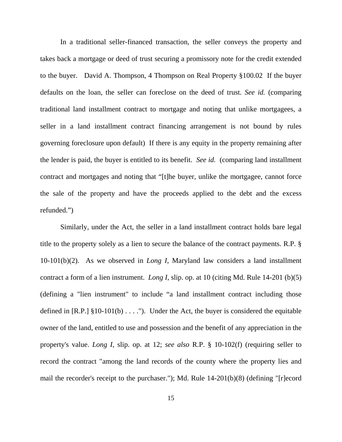In a traditional seller-financed transaction, the seller conveys the property and takes back a mortgage or deed of trust securing a promissory note for the credit extended to the buyer. David A. Thompson, 4 Thompson on Real Property §100.02 If the buyer defaults on the loan, the seller can foreclose on the deed of trust. *See id.* (comparing traditional land installment contract to mortgage and noting that unlike mortgagees, a seller in a land installment contract financing arrangement is not bound by rules governing foreclosure upon default) If there is any equity in the property remaining after the lender is paid, the buyer is entitled to its benefit. *See id.* (comparing land installment contract and mortgages and noting that "[t]he buyer, unlike the mortgagee, cannot force the sale of the property and have the proceeds applied to the debt and the excess refunded.")

Similarly, under the Act, the seller in a land installment contract holds bare legal title to the property solely as a lien to secure the balance of the contract payments. R.P. § 10-101(b)(2). As we observed in *Long I,* Maryland law considers a land installment contract a form of a lien instrument. *Long I*, slip. op. at 10 (citing Md. Rule 14-201 (b)(5) (defining a "lien instrument" to include "a land installment contract including those defined in [R.P.]  $\S 10-101(b) \ldots$ ."). Under the Act, the buyer is considered the equitable owner of the land, entitled to use and possession and the benefit of any appreciation in the property's value. *Long I*, slip. op. at 12; *see also* R.P. § 10-102(f) (requiring seller to record the contract "among the land records of the county where the property lies and mail the recorder's receipt to the purchaser."); Md. Rule 14-201(b)(8) (defining "[r]ecord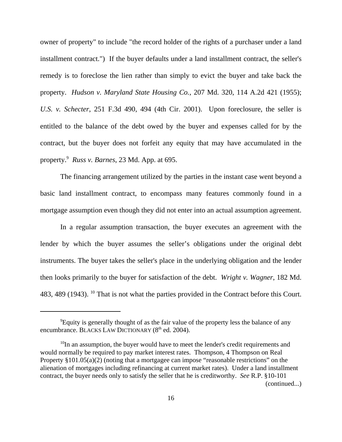owner of property" to include "the record holder of the rights of a purchaser under a land installment contract.") If the buyer defaults under a land installment contract, the seller's remedy is to foreclose the lien rather than simply to evict the buyer and take back the property. *Hudson v. Maryland State Housing Co.*, 207 Md. 320, 114 A.2d 421 (1955); *U.S. v. Schecter*, 251 F.3d 490, 494 (4th Cir. 2001). Upon foreclosure, the seller is entitled to the balance of the debt owed by the buyer and expenses called for by the contract, but the buyer does not forfeit any equity that may have accumulated in the property.9 *Russ v. Barnes*, 23 Md. App. at 695.

The financing arrangement utilized by the parties in the instant case went beyond a basic land installment contract, to encompass many features commonly found in a mortgage assumption even though they did not enter into an actual assumption agreement.

In a regular assumption transaction, the buyer executes an agreement with the lender by which the buyer assumes the seller's obligations under the original debt instruments. The buyer takes the seller's place in the underlying obligation and the lender then looks primarily to the buyer for satisfaction of the debt. *Wright v. Wagner*, 182 Md. 483, 489 (1943). <sup>10</sup> That is not what the parties provided in the Contract before this Court.

<sup>&</sup>lt;sup>9</sup> Equity is generally thought of as the fair value of the property less the balance of any encumbrance. BLACKS LAW DICTIONARY  $(8<sup>th</sup>$  ed. 2004).

<sup>&</sup>lt;sup>10</sup>In an assumption, the buyer would have to meet the lender's credit requirements and would normally be required to pay market interest rates. Thompson, 4 Thompson on Real Property §101.05(a)(2) (noting that a mortgagee can impose "reasonable restrictions" on the alienation of mortgages including refinancing at current market rates). Under a land installment contract, the buyer needs only to satisfy the seller that he is creditworthy. *See* R.P. §10-101 (continued...)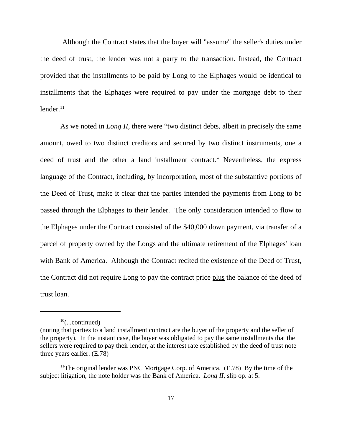Although the Contract states that the buyer will "assume" the seller's duties under the deed of trust, the lender was not a party to the transaction. Instead, the Contract provided that the installments to be paid by Long to the Elphages would be identical to installments that the Elphages were required to pay under the mortgage debt to their  $l$ ender. $11$ 

As we noted in *Long II*, there were "two distinct debts, albeit in precisely the same amount, owed to two distinct creditors and secured by two distinct instruments, one a deed of trust and the other a land installment contract." Nevertheless, the express language of the Contract, including, by incorporation, most of the substantive portions of the Deed of Trust, make it clear that the parties intended the payments from Long to be passed through the Elphages to their lender. The only consideration intended to flow to the Elphages under the Contract consisted of the \$40,000 down payment, via transfer of a parcel of property owned by the Longs and the ultimate retirement of the Elphages' loan with Bank of America. Although the Contract recited the existence of the Deed of Trust, the Contract did not require Long to pay the contract price plus the balance of the deed of trust loan.

 $10$ (...continued)

<sup>(</sup>noting that parties to a land installment contract are the buyer of the property and the seller of the property). In the instant case, the buyer was obligated to pay the same installments that the sellers were required to pay their lender, at the interest rate established by the deed of trust note three years earlier. (E.78)

<sup>&</sup>lt;sup>11</sup>The original lender was PNC Mortgage Corp. of America.  $(E.78)$  By the time of the subject litigation, the note holder was the Bank of America. *Long II*, slip op. at 5.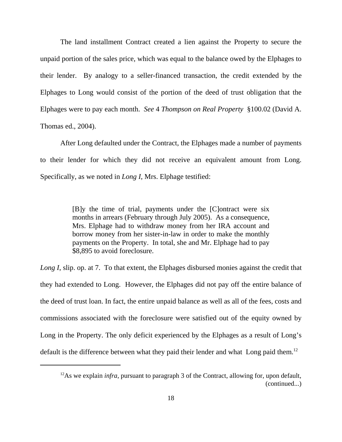The land installment Contract created a lien against the Property to secure the unpaid portion of the sales price, which was equal to the balance owed by the Elphages to their lender. By analogy to a seller-financed transaction, the credit extended by the Elphages to Long would consist of the portion of the deed of trust obligation that the Elphages were to pay each month. *See* 4 *Thompson on Real Property* §100.02 (David A. Thomas ed., 2004).

After Long defaulted under the Contract, the Elphages made a number of payments to their lender for which they did not receive an equivalent amount from Long. Specifically, as we noted in *Long I*, Mrs. Elphage testified:

> [B]y the time of trial, payments under the [C]ontract were six months in arrears (February through July 2005). As a consequence, Mrs. Elphage had to withdraw money from her IRA account and borrow money from her sister-in-law in order to make the monthly payments on the Property. In total, she and Mr. Elphage had to pay \$8,895 to avoid foreclosure.

*Long I*, slip. op. at 7. To that extent, the Elphages disbursed monies against the credit that they had extended to Long. However, the Elphages did not pay off the entire balance of the deed of trust loan. In fact, the entire unpaid balance as well as all of the fees, costs and commissions associated with the foreclosure were satisfied out of the equity owned by Long in the Property. The only deficit experienced by the Elphages as a result of Long's default is the difference between what they paid their lender and what Long paid them.<sup>12</sup>

<sup>&</sup>lt;sup>12</sup>As we explain *infra*, pursuant to paragraph 3 of the Contract, allowing for, upon default, (continued...)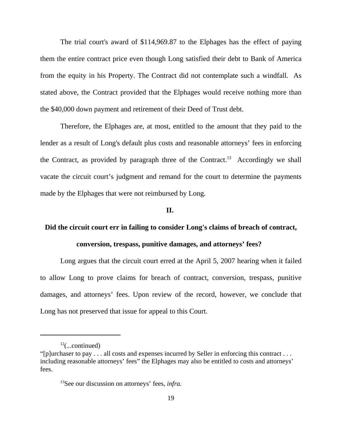The trial court's award of \$114,969.87 to the Elphages has the effect of paying them the entire contract price even though Long satisfied their debt to Bank of America from the equity in his Property. The Contract did not contemplate such a windfall. As stated above, the Contract provided that the Elphages would receive nothing more than the \$40,000 down payment and retirement of their Deed of Trust debt.

Therefore, the Elphages are, at most, entitled to the amount that they paid to the lender as a result of Long's default plus costs and reasonable attorneys' fees in enforcing the Contract, as provided by paragraph three of the Contract.<sup>13</sup> Accordingly we shall vacate the circuit court's judgment and remand for the court to determine the payments made by the Elphages that were not reimbursed by Long.

## **II.**

## **Did the circuit court err in failing to consider Long's claims of breach of contract,**

## **conversion, trespass, punitive damages, and attorneys' fees?**

Long argues that the circuit court erred at the April 5, 2007 hearing when it failed to allow Long to prove claims for breach of contract, conversion, trespass, punitive damages, and attorneys' fees. Upon review of the record, however, we conclude that Long has not preserved that issue for appeal to this Court.

 $12$ (...continued)

<sup>&</sup>quot;[p]urchaser to pay . . . all costs and expenses incurred by Seller in enforcing this contract . . . including reasonable attorneys' fees" the Elphages may also be entitled to costs and attorneys' fees.

<sup>13</sup>See our discussion on attorneys' fees, *infra.*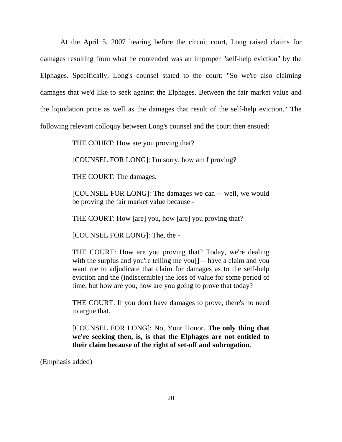At the April 5, 2007 hearing before the circuit court, Long raised claims for damages resulting from what he contended was an improper "self-help eviction" by the Elphages. Specifically, Long's counsel stated to the court: "So we're also claiming damages that we'd like to seek against the Elphages. Between the fair market value and the liquidation price as well as the damages that result of the self-help eviction." The following relevant colloquy between Long's counsel and the court then ensued:

THE COURT: How are you proving that?

[COUNSEL FOR LONG]: I'm sorry, how am I proving?

THE COURT: The damages.

[COUNSEL FOR LONG]: The damages we can -- well, we would be proving the fair market value because -

THE COURT: How [are] you, how [are] you proving that?

[COUNSEL FOR LONG]: The, the -

THE COURT: How are you proving that? Today, we're dealing with the surplus and you're telling me you<sup>[]</sup> -- have a claim and you want me to adjudicate that claim for damages as to the self-help eviction and the (indiscernible) the loss of value for some period of time, but how are you, how are you going to prove that today?

THE COURT: If you don't have damages to prove, there's no need to argue that.

[COUNSEL FOR LONG]: No, Your Honor. **The only thing that we're seeking then, is, is that the Elphages are not entitled to their claim because of the right of set-off and subrogation**.

(Emphasis added)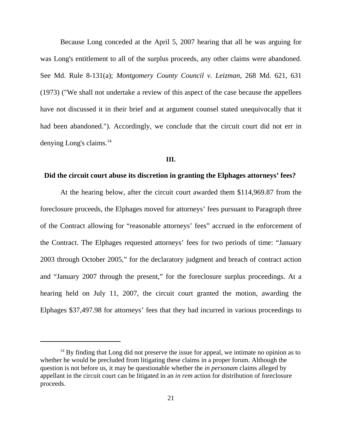Because Long conceded at the April 5, 2007 hearing that all he was arguing for was Long's entitlement to all of the surplus proceeds, any other claims were abandoned. See Md. Rule 8-131(a); *Montgomery County Council v. Leizman*, 268 Md. 621, 631 (1973) ("We shall not undertake a review of this aspect of the case because the appellees have not discussed it in their brief and at argument counsel stated unequivocally that it had been abandoned."). Accordingly, we conclude that the circuit court did not err in denying Long's claims.<sup>14</sup>

#### **III.**

#### **Did the circuit court abuse its discretion in granting the Elphages attorneys' fees?**

At the hearing below, after the circuit court awarded them \$114,969.87 from the foreclosure proceeds, the Elphages moved for attorneys' fees pursuant to Paragraph three of the Contract allowing for "reasonable attorneys' fees" accrued in the enforcement of the Contract. The Elphages requested attorneys' fees for two periods of time: "January 2003 through October 2005," for the declaratory judgment and breach of contract action and "January 2007 through the present," for the foreclosure surplus proceedings. At a hearing held on July 11, 2007, the circuit court granted the motion, awarding the Elphages \$37,497.98 for attorneys' fees that they had incurred in various proceedings to

 $14$  By finding that Long did not preserve the issue for appeal, we intimate no opinion as to whether he would be precluded from litigating these claims in a proper forum. Although the question is not before us, it may be questionable whether the *in personam* claims alleged by appellant in the circuit court can be litigated in an *in rem* action for distribution of foreclosure proceeds.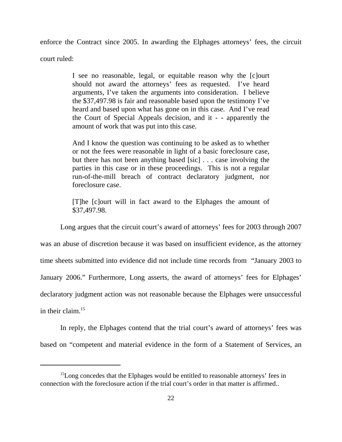enforce the Contract since 2005. In awarding the Elphages attorneys' fees, the circuit court ruled:

> I see no reasonable, legal, or equitable reason why the [c]ourt should not award the attorneys' fees as requested. I've heard arguments, I've taken the arguments into consideration. I believe the \$37,497.98 is fair and reasonable based upon the testimony I've heard and based upon what has gone on in this case. And I've read the Court of Special Appeals decision, and it - - apparently the amount of work that was put into this case.

> And I know the question was continuing to be asked as to whether or not the fees were reasonable in light of a basic foreclosure case, but there has not been anything based [sic] . . . case involving the parties in this case or in these proceedings. This is not a regular run-of-the-mill breach of contract declaratory judgment, nor foreclosure case.

> [T]he [c]ourt will in fact award to the Elphages the amount of \$37,497.98.

Long argues that the circuit court's award of attorneys' fees for 2003 through 2007 was an abuse of discretion because it was based on insufficient evidence, as the attorney time sheets submitted into evidence did not include time records from "January 2003 to January 2006." Furthermore, Long asserts, the award of attorneys' fees for Elphages' declaratory judgment action was not reasonable because the Elphages were unsuccessful in their claim.15

In reply, the Elphages contend that the trial court's award of attorneys' fees was based on "competent and material evidence in the form of a Statement of Services, an

<sup>&</sup>lt;sup>15</sup>Long concedes that the Elphages would be entitled to reasonable attorneys' fees in connection with the foreclosure action if the trial court's order in that matter is affirmed..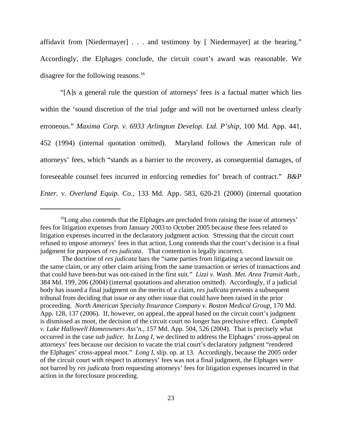affidavit from [Niedermayer] . . . and testimony by [ Niedermayer] at the hearing." Accordingly, the Elphages conclude, the circuit court's award was reasonable. We disagree for the following reasons.<sup>16</sup>

"[A]s a general rule the question of attorneys' fees is a factual matter which lies within the 'sound discretion of the trial judge and will not be overturned unless clearly erroneous." *Maxima Corp. v. 6933 Arlington Develop. Ltd. P'ship*, 100 Md. App. 441*,* 452 (1994) (internal quotation omitted). Maryland follows the American rule of attorneys' fees, which "stands as a barrier to the recovery, as consequential damages, of foreseeable counsel fees incurred in enforcing remedies for' breach of contract." *B&P Enter. v. Overland Equip. Co.*, 133 Md. App. 583, 620-21 (2000) (internal quotation

<sup>&</sup>lt;sup>16</sup>Long also contends that the Elphages are precluded from raising the issue of attorneys' fees for litigation expenses from January 2003 to October 2005 because these fees related to litigation expenses incurred in the declaratory judgment action. Stressing that the circuit court refused to impose attorneys' fees in that action, Long contends that the court's decision is a final judgment for purposes of *res judicata*. That contention is legally incorrect.

The doctrine of *res judicata* bars the "same parties from litigating a second lawsuit on the same claim, or any other claim arising from the same transaction or series of transactions and that could have been-but was not-raised in the first suit." *Lizzi v. Wash. Met. Area Transit Auth*., 384 Md. 199, 206 (2004) (internal quotations and alteration omitted). Accordingly, if a judicial body has issued a final judgment on the merits of a claim, *res judicata* prevents a subsequent tribunal from deciding that issue or any other issue that could have been raised in the prior proceeding. *North American Specialty Insurance Company v. Boston Medical Group*, 170 Md. App. 128, 137 (2006). If, however, on appeal, the appeal based on the circuit court's judgment is dismissed as moot, the decision of the circuit court no longer has preclusive effect. *Campbell v. Lake Hallowell Homeowners Ass'n.*, 157 Md. App. 504, 526 (2004). That is precisely what occurred in the case *sub judice.* In *Long I*, we declined to address the Elphages' cross-appeal on attorneys' fees because our decision to vacate the trial court's declaratory judgment "rendered the Elphages' cross-appeal moot." *Long I*, slip. op. at 13. Accordingly, because the 2005 order of the circuit court with respect to attorneys' fees was not a final judgment, the Elphages were not barred by *res judicata* from requesting attorneys' fees for litigation expenses incurred in that action in the foreclosure proceeding.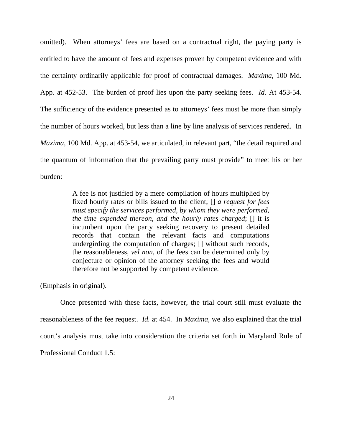omitted). When attorneys' fees are based on a contractual right, the paying party is entitled to have the amount of fees and expenses proven by competent evidence and with the certainty ordinarily applicable for proof of contractual damages. *Maxima*, 100 Md. App. at 452-53. The burden of proof lies upon the party seeking fees. *Id.* At 453-54. The sufficiency of the evidence presented as to attorneys' fees must be more than simply the number of hours worked, but less than a line by line analysis of services rendered. In *Maxima*, 100 Md. App. at 453-54, we articulated, in relevant part, "the detail required and the quantum of information that the prevailing party must provide" to meet his or her burden:

> A fee is not justified by a mere compilation of hours multiplied by fixed hourly rates or bills issued to the client; [] *a request for fees must specify the services performed, by whom they were performed, the time expended thereon, and the hourly rates charged*; [] it is incumbent upon the party seeking recovery to present detailed records that contain the relevant facts and computations undergirding the computation of charges; [] without such records, the reasonableness, *vel non*, of the fees can be determined only by conjecture or opinion of the attorney seeking the fees and would therefore not be supported by competent evidence.

(Emphasis in original).

Once presented with these facts, however, the trial court still must evaluate the reasonableness of the fee request. *Id.* at 454. In *Maxima,* we also explained that the trial court's analysis must take into consideration the criteria set forth in Maryland Rule of Professional Conduct 1.5: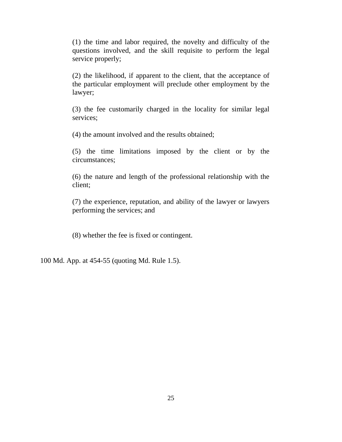(1) the time and labor required, the novelty and difficulty of the questions involved, and the skill requisite to perform the legal service properly;

(2) the likelihood, if apparent to the client, that the acceptance of the particular employment will preclude other employment by the lawyer;

(3) the fee customarily charged in the locality for similar legal services;

(4) the amount involved and the results obtained;

(5) the time limitations imposed by the client or by the circumstances;

(6) the nature and length of the professional relationship with the client;

(7) the experience, reputation, and ability of the lawyer or lawyers performing the services; and

(8) whether the fee is fixed or contingent.

100 Md. App. at 454-55 (quoting Md. Rule 1.5).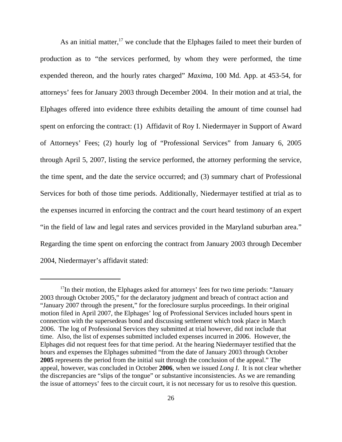As an initial matter, $17$  we conclude that the Elphages failed to meet their burden of production as to *"*the services performed, by whom they were performed, the time expended thereon, and the hourly rates charged" *Maxima*, 100 Md. App. at 453-54, for attorneys' fees for January 2003 through December 2004. In their motion and at trial, the Elphages offered into evidence three exhibits detailing the amount of time counsel had spent on enforcing the contract: (1) Affidavit of Roy I. Niedermayer in Support of Award of Attorneys' Fees; (2) hourly log of "Professional Services" from January 6, 2005 through April 5, 2007, listing the service performed, the attorney performing the service, the time spent, and the date the service occurred; and (3) summary chart of Professional Services for both of those time periods. Additionally, Niedermayer testified at trial as to the expenses incurred in enforcing the contract and the court heard testimony of an expert "in the field of law and legal rates and services provided in the Maryland suburban area." Regarding the time spent on enforcing the contract from January 2003 through December 2004, Niedermayer's affidavit stated:

<sup>&</sup>lt;sup>17</sup>In their motion, the Elphages asked for attorneys' fees for two time periods: "January 2003 through October 2005," for the declaratory judgment and breach of contract action and "January 2007 through the present," for the foreclosure surplus proceedings. In their original motion filed in April 2007, the Elphages' log of Professional Services included hours spent in connection with the supersedeas bond and discussing settlement which took place in March 2006. The log of Professional Services they submitted at trial however, did not include that time. Also, the list of expenses submitted included expenses incurred in 2006. However, the Elphages did not request fees for that time period. At the hearing Niedermayer testified that the hours and expenses the Elphages submitted "from the date of January 2003 through October **2005** represents the period from the initial suit through the conclusion of the appeal." The appeal, however, was concluded in October **2006**, when we issued *Long I*. It is not clear whether the discrepancies are "slips of the tongue" or substantive inconsistencies. As we are remanding the issue of attorneys' fees to the circuit court, it is not necessary for us to resolve this question.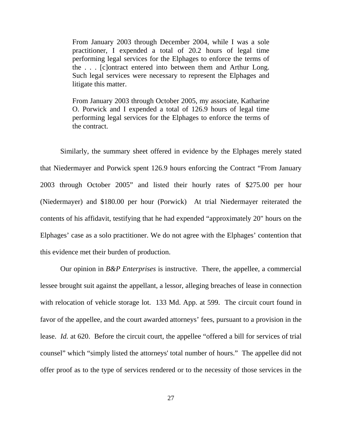From January 2003 through December 2004, while I was a sole practitioner, I expended a total of 20.2 hours of legal time performing legal services for the Elphages to enforce the terms of the . . . [c]ontract entered into between them and Arthur Long. Such legal services were necessary to represent the Elphages and litigate this matter.

From January 2003 through October 2005, my associate, Katharine O. Porwick and I expended a total of 126.9 hours of legal time performing legal services for the Elphages to enforce the terms of the contract.

Similarly, the summary sheet offered in evidence by the Elphages merely stated that Niedermayer and Porwick spent 126.9 hours enforcing the Contract "From January 2003 through October 2005" and listed their hourly rates of \$275.00 per hour (Niedermayer) and \$180.00 per hour (Porwick) At trial Niedermayer reiterated the contents of his affidavit, testifying that he had expended "approximately 20" hours on the Elphages' case as a solo practitioner. We do not agree with the Elphages' contention that this evidence met their burden of production.

Our opinion in *B&P Enterprises* is instructive. There, the appellee, a commercial lessee brought suit against the appellant, a lessor, alleging breaches of lease in connection with relocation of vehicle storage lot. 133 Md. App. at 599. The circuit court found in favor of the appellee, and the court awarded attorneys' fees, pursuant to a provision in the lease. *Id.* at 620. Before the circuit court, the appellee "offered a bill for services of trial counsel" which "simply listed the attorneys' total number of hours." The appellee did not offer proof as to the type of services rendered or to the necessity of those services in the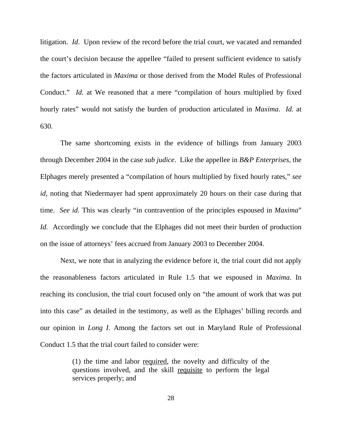litigation. *Id.* Upon review of the record before the trial court, we vacated and remanded the court's decision because the appellee "failed to present sufficient evidence to satisfy the factors articulated in *Maxima* or those derived from the Model Rules of Professional Conduct." *Id.* at We reasoned that a mere "compilation of hours multiplied by fixed hourly rates" would not satisfy the burden of production articulated in *Maxima*. *Id.* at 630.

The same shortcoming exists in the evidence of billings from January 2003 through December 2004 in the case *sub judice*. Like the appellee in *B&P Enterprises*, the Elphages merely presented a "compilation of hours multiplied by fixed hourly rates," *see id*, noting that Niedermayer had spent approximately 20 hours on their case during that time. *See id.* This was clearly "in contravention of the principles espoused in *Maxima*" *Id.* Accordingly we conclude that the Elphages did not meet their burden of production on the issue of attorneys' fees accrued from January 2003 to December 2004.

Next, we note that in analyzing the evidence before it, the trial court did not apply the reasonableness factors articulated in Rule 1.5 that we espoused in *Maxima*. In reaching its conclusion, the trial court focused only on "the amount of work that was put into this case" as detailed in the testimony, as well as the Elphages' billing records and our opinion in *Long I*. Among the factors set out in Maryland Rule of Professional Conduct 1.5 that the trial court failed to consider were:

> (1) the time and labor required, the novelty and difficulty of the questions involved, and the skill requisite to perform the legal services properly; and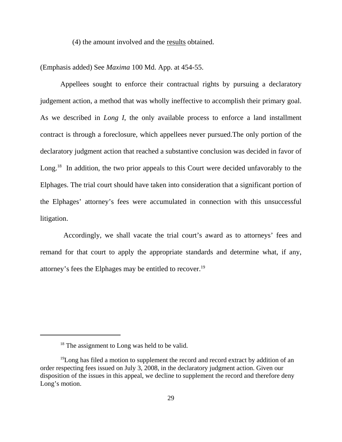(4) the amount involved and the results obtained.

(Emphasis added) See *Maxima* 100 Md. App. at 454-55.

Appellees sought to enforce their contractual rights by pursuing a declaratory judgement action, a method that was wholly ineffective to accomplish their primary goal. As we described in *Long I*, the only available process to enforce a land installment contract is through a foreclosure, which appellees never pursued.The only portion of the declaratory judgment action that reached a substantive conclusion was decided in favor of Long.<sup>18</sup> In addition, the two prior appeals to this Court were decided unfavorably to the Elphages. The trial court should have taken into consideration that a significant portion of the Elphages' attorney's fees were accumulated in connection with this unsuccessful litigation.

 Accordingly, we shall vacate the trial court's award as to attorneys' fees and remand for that court to apply the appropriate standards and determine what, if any, attorney's fees the Elphages may be entitled to recover.19

<sup>&</sup>lt;sup>18</sup> The assignment to Long was held to be valid.

 $19$ Long has filed a motion to supplement the record and record extract by addition of an order respecting fees issued on July 3, 2008, in the declaratory judgment action. Given our disposition of the issues in this appeal, we decline to supplement the record and therefore deny Long's motion.